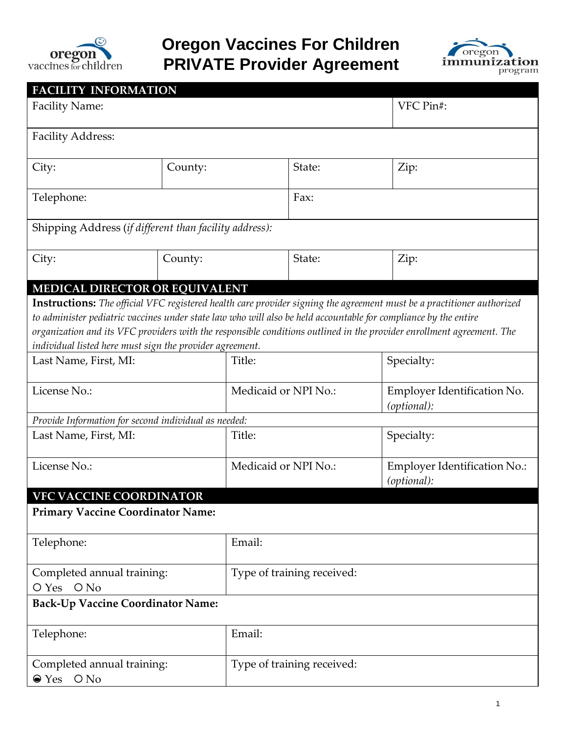

# **Oregon Vaccines For Children PRIVATE Provider Agreement**



| <b>FACILITY INFORMATION</b>                                                                                           |         |                            |        |  |                                                                                                                        |
|-----------------------------------------------------------------------------------------------------------------------|---------|----------------------------|--------|--|------------------------------------------------------------------------------------------------------------------------|
| <b>Facility Name:</b>                                                                                                 |         |                            |        |  | VFC Pin#:                                                                                                              |
| Facility Address:                                                                                                     |         |                            |        |  |                                                                                                                        |
| City:                                                                                                                 | County: |                            | State: |  | Zip:                                                                                                                   |
| Telephone:                                                                                                            |         |                            | Fax:   |  |                                                                                                                        |
| Shipping Address (if different than facility address):                                                                |         |                            |        |  |                                                                                                                        |
| City:<br>County:                                                                                                      |         |                            | State: |  | Zip:                                                                                                                   |
| MEDICAL DIRECTOR OR EQUIVALENT                                                                                        |         |                            |        |  |                                                                                                                        |
|                                                                                                                       |         |                            |        |  | Instructions: The official VFC registered health care provider signing the agreement must be a practitioner authorized |
| to administer pediatric vaccines under state law who will also be held accountable for compliance by the entire       |         |                            |        |  |                                                                                                                        |
| organization and its VFC providers with the responsible conditions outlined in the provider enrollment agreement. The |         |                            |        |  |                                                                                                                        |
| individual listed here must sign the provider agreement.                                                              |         |                            |        |  |                                                                                                                        |
| Last Name, First, MI:                                                                                                 |         | Title:                     |        |  | Specialty:                                                                                                             |
|                                                                                                                       |         |                            |        |  |                                                                                                                        |
| License No.:                                                                                                          |         | Medicaid or NPI No.:       |        |  | Employer Identification No.<br>(optional):                                                                             |
| Provide Information for second individual as needed:                                                                  |         |                            |        |  |                                                                                                                        |
| Last Name, First, MI:                                                                                                 |         | Title:                     |        |  | Specialty:                                                                                                             |
| License No.:                                                                                                          |         | Medicaid or NPI No.:       |        |  | Employer Identification No.:<br>(optional):                                                                            |
| <b>VFC VACCINE COORDINATOR</b>                                                                                        |         |                            |        |  |                                                                                                                        |
| <b>Primary Vaccine Coordinator Name:</b>                                                                              |         |                            |        |  |                                                                                                                        |
| Telephone:                                                                                                            |         | Email:                     |        |  |                                                                                                                        |
| Completed annual training:                                                                                            |         | Type of training received: |        |  |                                                                                                                        |
| O Yes O No                                                                                                            |         |                            |        |  |                                                                                                                        |
| <b>Back-Up Vaccine Coordinator Name:</b>                                                                              |         |                            |        |  |                                                                                                                        |
| Telephone:                                                                                                            |         | Email:                     |        |  |                                                                                                                        |
| Completed annual training:<br>$O$ No<br>$\bullet$ Yes                                                                 |         | Type of training received: |        |  |                                                                                                                        |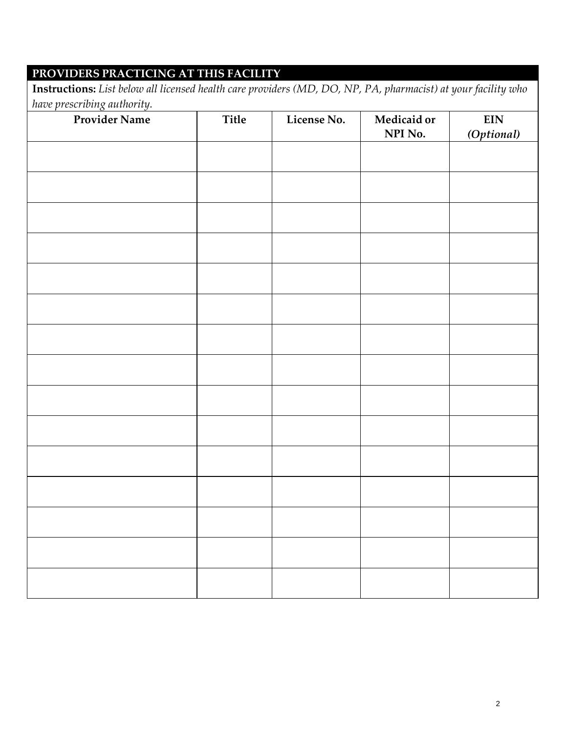## **PROVIDERS PRACTICING AT THIS FACILITY**

Instructions: List below all licensed health care providers (MD, DO, NP, PA, pharmacist) at your facility who *have prescribing authority.*

| <b>Provider Name</b> | <b>Title</b> | License No. | Medicaid or | $\mathbf{EIN}$ |
|----------------------|--------------|-------------|-------------|----------------|
|                      |              |             | NPI No.     | (Optional)     |
|                      |              |             |             |                |
|                      |              |             |             |                |
|                      |              |             |             |                |
|                      |              |             |             |                |
|                      |              |             |             |                |
|                      |              |             |             |                |
|                      |              |             |             |                |
|                      |              |             |             |                |
|                      |              |             |             |                |
|                      |              |             |             |                |
|                      |              |             |             |                |
|                      |              |             |             |                |
|                      |              |             |             |                |
|                      |              |             |             |                |
|                      |              |             |             |                |
|                      |              |             |             |                |
|                      |              |             |             |                |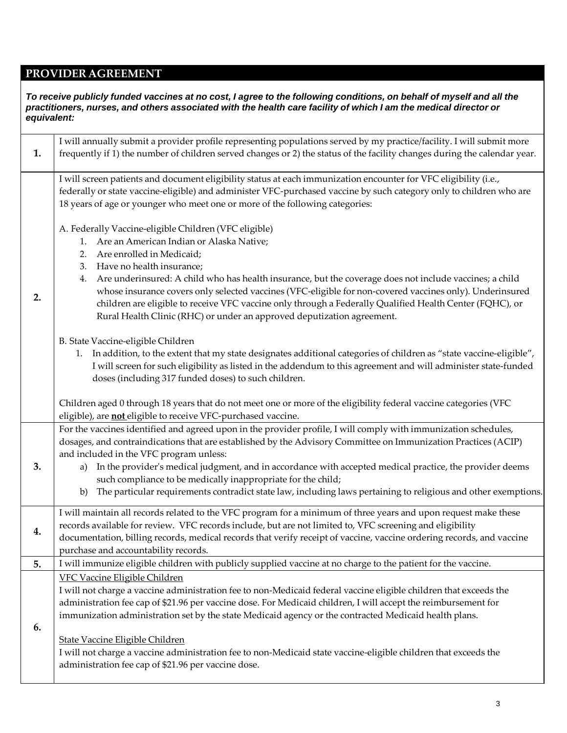### **PROVIDER AGREEMENT**

| equivalent: | To receive publicly funded vaccines at no cost, I agree to the following conditions, on behalf of myself and all the<br>practitioners, nurses, and others associated with the health care facility of which I am the medical director or                                                                                                                                                                                                                                                                                                                                                                                                                |
|-------------|---------------------------------------------------------------------------------------------------------------------------------------------------------------------------------------------------------------------------------------------------------------------------------------------------------------------------------------------------------------------------------------------------------------------------------------------------------------------------------------------------------------------------------------------------------------------------------------------------------------------------------------------------------|
| 1.          | I will annually submit a provider profile representing populations served by my practice/facility. I will submit more<br>frequently if 1) the number of children served changes or 2) the status of the facility changes during the calendar year.                                                                                                                                                                                                                                                                                                                                                                                                      |
|             | I will screen patients and document eligibility status at each immunization encounter for VFC eligibility (i.e.,<br>federally or state vaccine-eligible) and administer VFC-purchased vaccine by such category only to children who are<br>18 years of age or younger who meet one or more of the following categories:                                                                                                                                                                                                                                                                                                                                 |
| 2.          | A. Federally Vaccine-eligible Children (VFC eligible)<br>1. Are an American Indian or Alaska Native;<br>Are enrolled in Medicaid;<br>2.<br>Have no health insurance;<br>3.<br>Are underinsured: A child who has health insurance, but the coverage does not include vaccines; a child<br>4.<br>whose insurance covers only selected vaccines (VFC-eligible for non-covered vaccines only). Underinsured<br>children are eligible to receive VFC vaccine only through a Federally Qualified Health Center (FQHC), or<br>Rural Health Clinic (RHC) or under an approved deputization agreement.                                                           |
|             | B. State Vaccine-eligible Children<br>1. In addition, to the extent that my state designates additional categories of children as "state vaccine-eligible",<br>I will screen for such eligibility as listed in the addendum to this agreement and will administer state-funded<br>doses (including 317 funded doses) to such children.<br>Children aged 0 through 18 years that do not meet one or more of the eligibility federal vaccine categories (VFC                                                                                                                                                                                              |
| 3.          | eligible), are not eligible to receive VFC-purchased vaccine.<br>For the vaccines identified and agreed upon in the provider profile, I will comply with immunization schedules,<br>dosages, and contraindications that are established by the Advisory Committee on Immunization Practices (ACIP)<br>and included in the VFC program unless:<br>In the provider's medical judgment, and in accordance with accepted medical practice, the provider deems<br>a)<br>such compliance to be medically inappropriate for the child;<br>The particular requirements contradict state law, including laws pertaining to religious and other exemptions.<br>b) |
| 4.          | I will maintain all records related to the VFC program for a minimum of three years and upon request make these<br>records available for review. VFC records include, but are not limited to, VFC screening and eligibility<br>documentation, billing records, medical records that verify receipt of vaccine, vaccine ordering records, and vaccine<br>purchase and accountability records.                                                                                                                                                                                                                                                            |
| 5.          | I will immunize eligible children with publicly supplied vaccine at no charge to the patient for the vaccine.                                                                                                                                                                                                                                                                                                                                                                                                                                                                                                                                           |
| 6.          | VFC Vaccine Eligible Children<br>I will not charge a vaccine administration fee to non-Medicaid federal vaccine eligible children that exceeds the<br>administration fee cap of \$21.96 per vaccine dose. For Medicaid children, I will accept the reimbursement for<br>immunization administration set by the state Medicaid agency or the contracted Medicaid health plans.                                                                                                                                                                                                                                                                           |
|             | State Vaccine Eligible Children<br>I will not charge a vaccine administration fee to non-Medicaid state vaccine-eligible children that exceeds the<br>administration fee cap of \$21.96 per vaccine dose.                                                                                                                                                                                                                                                                                                                                                                                                                                               |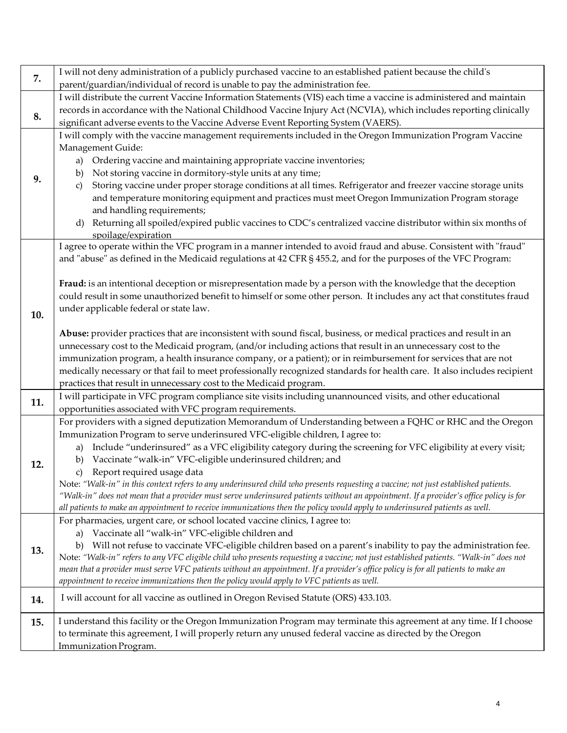| 7.  | I will not deny administration of a publicly purchased vaccine to an established patient because the child's<br>parent/guardian/individual of record is unable to pay the administration fee.                                                                                                                                                                                                                                                                                                                                                                                                                                                                                                                                                                                                                                                                                                                                                                                                                                                                                      |
|-----|------------------------------------------------------------------------------------------------------------------------------------------------------------------------------------------------------------------------------------------------------------------------------------------------------------------------------------------------------------------------------------------------------------------------------------------------------------------------------------------------------------------------------------------------------------------------------------------------------------------------------------------------------------------------------------------------------------------------------------------------------------------------------------------------------------------------------------------------------------------------------------------------------------------------------------------------------------------------------------------------------------------------------------------------------------------------------------|
| 8.  | I will distribute the current Vaccine Information Statements (VIS) each time a vaccine is administered and maintain<br>records in accordance with the National Childhood Vaccine Injury Act (NCVIA), which includes reporting clinically<br>significant adverse events to the Vaccine Adverse Event Reporting System (VAERS).                                                                                                                                                                                                                                                                                                                                                                                                                                                                                                                                                                                                                                                                                                                                                      |
| 9.  | I will comply with the vaccine management requirements included in the Oregon Immunization Program Vaccine<br>Management Guide:<br>a) Ordering vaccine and maintaining appropriate vaccine inventories;<br>Not storing vaccine in dormitory-style units at any time;<br>b)<br>Storing vaccine under proper storage conditions at all times. Refrigerator and freezer vaccine storage units<br>C)<br>and temperature monitoring equipment and practices must meet Oregon Immunization Program storage<br>and handling requirements;<br>Returning all spoiled/expired public vaccines to CDC's centralized vaccine distributor within six months of<br>$\rm d$<br>spoilage/expiration                                                                                                                                                                                                                                                                                                                                                                                                |
| 10. | I agree to operate within the VFC program in a manner intended to avoid fraud and abuse. Consistent with "fraud"<br>and "abuse" as defined in the Medicaid regulations at 42 CFR § 455.2, and for the purposes of the VFC Program:<br>Fraud: is an intentional deception or misrepresentation made by a person with the knowledge that the deception<br>could result in some unauthorized benefit to himself or some other person. It includes any act that constitutes fraud<br>under applicable federal or state law.<br>Abuse: provider practices that are inconsistent with sound fiscal, business, or medical practices and result in an<br>unnecessary cost to the Medicaid program, (and/or including actions that result in an unnecessary cost to the<br>immunization program, a health insurance company, or a patient); or in reimbursement for services that are not<br>medically necessary or that fail to meet professionally recognized standards for health care. It also includes recipient<br>practices that result in unnecessary cost to the Medicaid program. |
| 11. | I will participate in VFC program compliance site visits including unannounced visits, and other educational<br>opportunities associated with VFC program requirements.                                                                                                                                                                                                                                                                                                                                                                                                                                                                                                                                                                                                                                                                                                                                                                                                                                                                                                            |
| 12. | For providers with a signed deputization Memorandum of Understanding between a FQHC or RHC and the Oregon<br>Immunization Program to serve underinsured VFC-eligible children, I agree to:<br>Include "underinsured" as a VFC eligibility category during the screening for VFC eligibility at every visit;<br>a)<br>Vaccinate "walk-in" VFC-eligible underinsured children; and<br>b)<br>Report required usage data<br>$\mathbf{c})$<br>Note: "Walk-in" in this context refers to any underinsured child who presents requesting a vaccine; not just established patients.<br>"Walk-in" does not mean that a provider must serve underinsured patients without an appointment. If a provider's office policy is for<br>all patients to make an appointment to receive immunizations then the policy would apply to underinsured patients as well.                                                                                                                                                                                                                                 |
| 13. | For pharmacies, urgent care, or school located vaccine clinics, I agree to:<br>a) Vaccinate all "walk-in" VFC-eligible children and<br>Will not refuse to vaccinate VFC-eligible children based on a parent's inability to pay the administration fee.<br>b)<br>Note: "Walk-in" refers to any VFC eligible child who presents requesting a vaccine; not just established patients. "Walk-in" does not<br>mean that a provider must serve VFC patients without an appointment. If a provider's office policy is for all patients to make an<br>appointment to receive immunizations then the policy would apply to VFC patients as well.                                                                                                                                                                                                                                                                                                                                                                                                                                            |
| 14. | I will account for all vaccine as outlined in Oregon Revised Statute (ORS) 433.103.                                                                                                                                                                                                                                                                                                                                                                                                                                                                                                                                                                                                                                                                                                                                                                                                                                                                                                                                                                                                |
| 15. | I understand this facility or the Oregon Immunization Program may terminate this agreement at any time. If I choose<br>to terminate this agreement, I will properly return any unused federal vaccine as directed by the Oregon<br>Immunization Program.                                                                                                                                                                                                                                                                                                                                                                                                                                                                                                                                                                                                                                                                                                                                                                                                                           |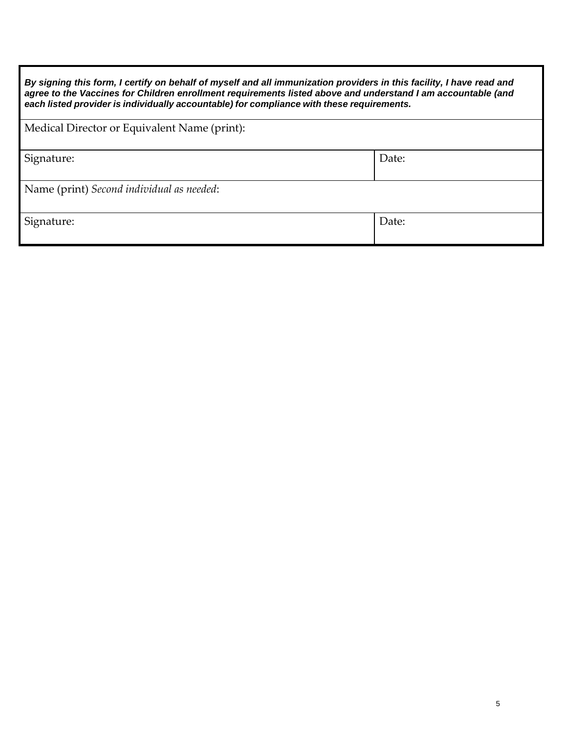| By signing this form, I certify on behalf of myself and all immunization providers in this facility, I have read and<br>agree to the Vaccines for Children enrollment requirements listed above and understand I am accountable (and<br>each listed provider is individually accountable) for compliance with these requirements. |       |  |
|-----------------------------------------------------------------------------------------------------------------------------------------------------------------------------------------------------------------------------------------------------------------------------------------------------------------------------------|-------|--|
| Medical Director or Equivalent Name (print):                                                                                                                                                                                                                                                                                      |       |  |
| Signature:                                                                                                                                                                                                                                                                                                                        | Date: |  |
| Name (print) Second individual as needed:                                                                                                                                                                                                                                                                                         |       |  |
| Signature:                                                                                                                                                                                                                                                                                                                        | Date: |  |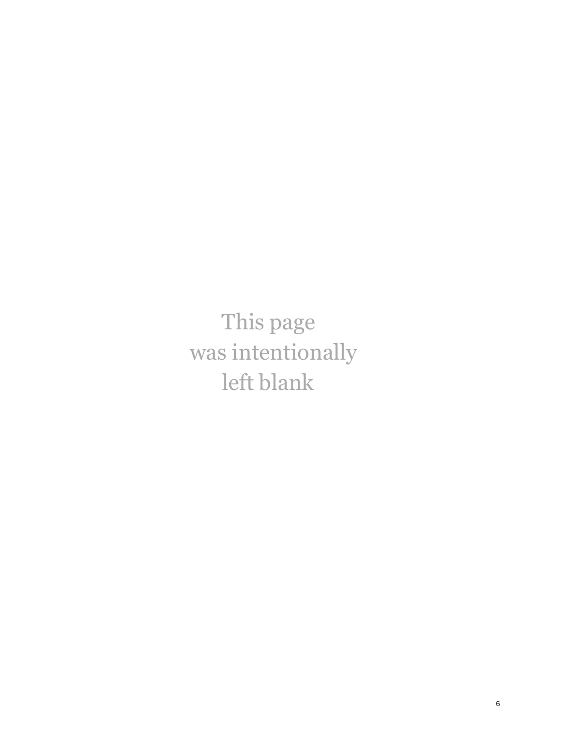This page was intentionally left blank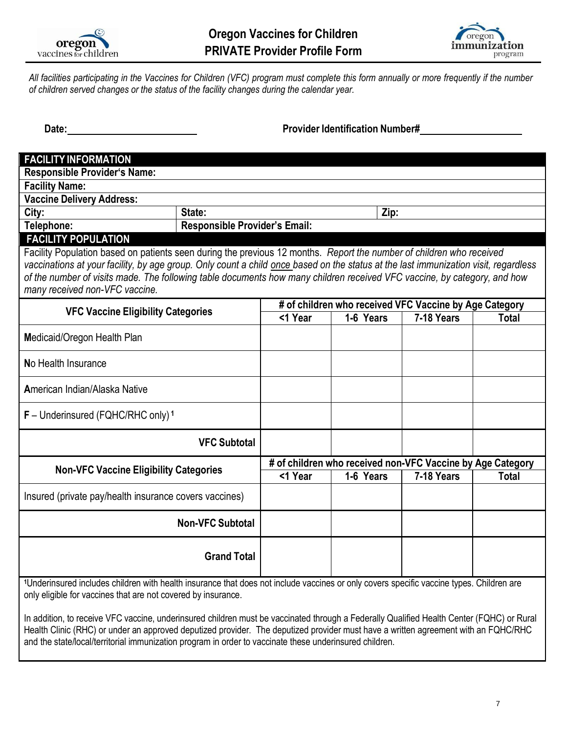



All facilities participating in the Vaccines for Children (VFC) program must complete this form annually or more frequently if the number *of children served changes or the status of the facility changes during the calendar year.*

| ۲J. |  |
|-----|--|

**Date: Provider Identification Number#**

| <b>FACILITY INFORMATION</b>                                                                                                                |                               |         |                                                            |            |              |
|--------------------------------------------------------------------------------------------------------------------------------------------|-------------------------------|---------|------------------------------------------------------------|------------|--------------|
| <b>Responsible Provider's Name:</b>                                                                                                        |                               |         |                                                            |            |              |
| <b>Facility Name:</b>                                                                                                                      |                               |         |                                                            |            |              |
| <b>Vaccine Delivery Address:</b>                                                                                                           |                               |         |                                                            |            |              |
| City:                                                                                                                                      | State:                        |         | Zip:                                                       |            |              |
| Telephone:                                                                                                                                 | Responsible Provider's Email: |         |                                                            |            |              |
| <b>FACILITY POPULATION</b>                                                                                                                 |                               |         |                                                            |            |              |
| Facility Population based on patients seen during the previous 12 months. Report the number of children who received                       |                               |         |                                                            |            |              |
| vaccinations at your facility, by age group. Only count a child once based on the status at the last immunization visit, regardless        |                               |         |                                                            |            |              |
| of the number of visits made. The following table documents how many children received VFC vaccine, by category, and how                   |                               |         |                                                            |            |              |
| many received non-VFC vaccine.                                                                                                             |                               |         |                                                            |            |              |
| <b>VFC Vaccine Eligibility Categories</b>                                                                                                  |                               |         | # of children who received VFC Vaccine by Age Category     |            |              |
|                                                                                                                                            |                               | <1 Year | 1-6 Years                                                  | 7-18 Years | Total        |
| Medicaid/Oregon Health Plan                                                                                                                |                               |         |                                                            |            |              |
| No Health Insurance                                                                                                                        |                               |         |                                                            |            |              |
| <b>American Indian/Alaska Native</b>                                                                                                       |                               |         |                                                            |            |              |
| F - Underinsured (FQHC/RHC only) 1                                                                                                         |                               |         |                                                            |            |              |
|                                                                                                                                            | <b>VFC Subtotal</b>           |         |                                                            |            |              |
|                                                                                                                                            |                               |         | # of children who received non-VFC Vaccine by Age Category |            |              |
| <b>Non-VFC Vaccine Eligibility Categories</b>                                                                                              |                               | <1 Year | 1-6 Years                                                  | 7-18 Years | <b>Total</b> |
| Insured (private pay/health insurance covers vaccines)                                                                                     |                               |         |                                                            |            |              |
|                                                                                                                                            | <b>Non-VFC Subtotal</b>       |         |                                                            |            |              |
| Il inderingurad includes objetive with booth incurrence that does not include veceines are only equate appeits veceing types. Children are | <b>Grand Total</b>            |         |                                                            |            |              |

**<sup>1</sup>**Underinsured includes children with health insurance that does not include vaccines or only covers specific vaccine types. Children are only eligible for vaccines that are not covered by insurance.

In addition, to receive VFC vaccine, underinsured children must be vaccinated through a Federally Qualified Health Center (FQHC) or Rural Health Clinic (RHC) or under an approved deputized provider. The deputized provider must have a written agreement with an FQHC/RHC and the state/local/territorial immunization program in order to vaccinate these underinsured children.